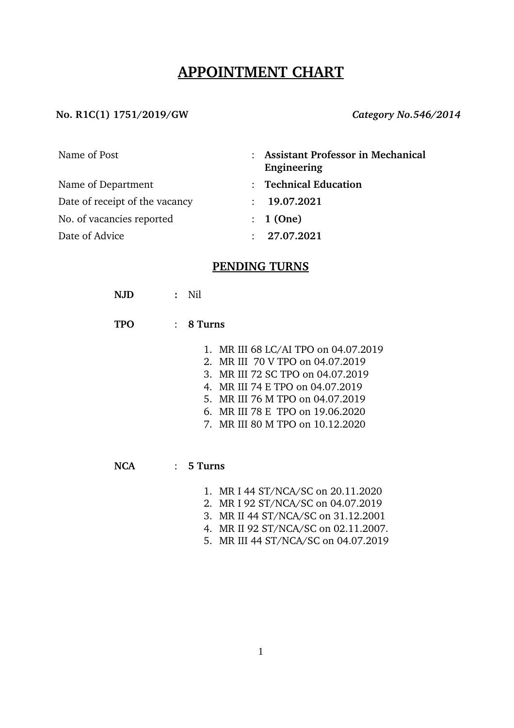# **APPOINTMENT CHART**

#### No. R1C(1) 1751/2019/GW *Category No.546/2014*

| Name of Post                   | : Assistant Professor in Mechanical<br>Engineering |
|--------------------------------|----------------------------------------------------|
| Name of Department             | : Technical Education                              |
| Date of receipt of the vacancy | : 19.07.2021                                       |
| No. of vacancies reported      | : 1(One)                                           |
| Date of Advice                 | : 27.07.2021                                       |

### **PENDING TURNS**

- **NJD :** Nil
- **TPO** : **8 Turns**
	- 1. MR III 68 LC/AI TPO on 04.07.2019
	- 2. MR III 70 V TPO on 04.07.2019
	- 3. MR III 72 SC TPO on 04.07.2019
	- 4. MR III 74 E TPO on 04.07.2019
	- 5. MR III 76 M TPO on 04.07.2019
	- 6. MR III 78 E TPO on 19.06.2020
	- 7. MR III 80 M TPO on 10.12.2020

#### **NCA** : **5 Turns**

- 1. MR I 44 ST/NCA/SC on 20.11.2020
- 2. MR I 92 ST/NCA/SC on 04.07.2019
- 3. MR II 44 ST/NCA/SC on 31.12.2001
- 4. MR II 92 ST/NCA/SC on 02.11.2007.
- 5. MR III 44 ST/NCA/SC on 04.07.2019